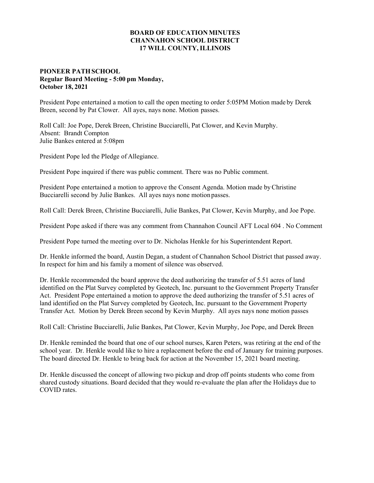## **BOARD OF EDUCATION MINUTES CHANNAHON SCHOOL DISTRICT 17 WILL COUNTY, ILLINOIS**

## **PIONEER PATH SCHOOL Regular Board Meeting - 5:00 pm Monday, October 18, 2021**

President Pope entertained a motion to call the open meeting to order 5:05PM Motion made by Derek Breen, second by Pat Clower. All ayes, nays none. Motion passes.

Roll Call: Joe Pope, Derek Breen, Christine Bucciarelli, Pat Clower, and Kevin Murphy. Absent: Brandt Compton Julie Bankes entered at 5:08pm

President Pope led the Pledge of Allegiance.

President Pope inquired if there was public comment. There was no Public comment.

President Pope entertained a motion to approve the Consent Agenda. Motion made by Christine Bucciarelli second by Julie Bankes. All ayes nays none motion passes.

Roll Call: Derek Breen, Christine Bucciarelli, Julie Bankes, Pat Clower, Kevin Murphy, and Joe Pope.

President Pope asked if there was any comment from Channahon Council AFT Local 604 . No Comment

President Pope turned the meeting over to Dr. Nicholas Henkle for his Superintendent Report.

Dr. Henkle informed the board, Austin Degan, a student of Channahon School District that passed away. In respect for him and his family a moment of silence was observed.

Dr. Henkle recommended the board approve the deed authorizing the transfer of 5.51 acres of land identified on the Plat Survey completed by Geotech, Inc. pursuant to the Government Property Transfer Act. President Pope entertained a motion to approve the deed authorizing the transfer of 5.51 acres of land identified on the Plat Survey completed by Geotech, Inc. pursuant to the Government Property Transfer Act. Motion by Derek Breen second by Kevin Murphy. All ayes nays none motion passes

Roll Call: Christine Bucciarelli, Julie Bankes, Pat Clower, Kevin Murphy, Joe Pope, and Derek Breen

Dr. Henkle reminded the board that one of our school nurses, Karen Peters, was retiring at the end of the school year. Dr. Henkle would like to hire a replacement before the end of January for training purposes. The board directed Dr. Henkle to bring back for action at the November 15, 2021 board meeting.

Dr. Henkle discussed the concept of allowing two pickup and drop off points students who come from shared custody situations. Board decided that they would re-evaluate the plan after the Holidays due to COVID rates.